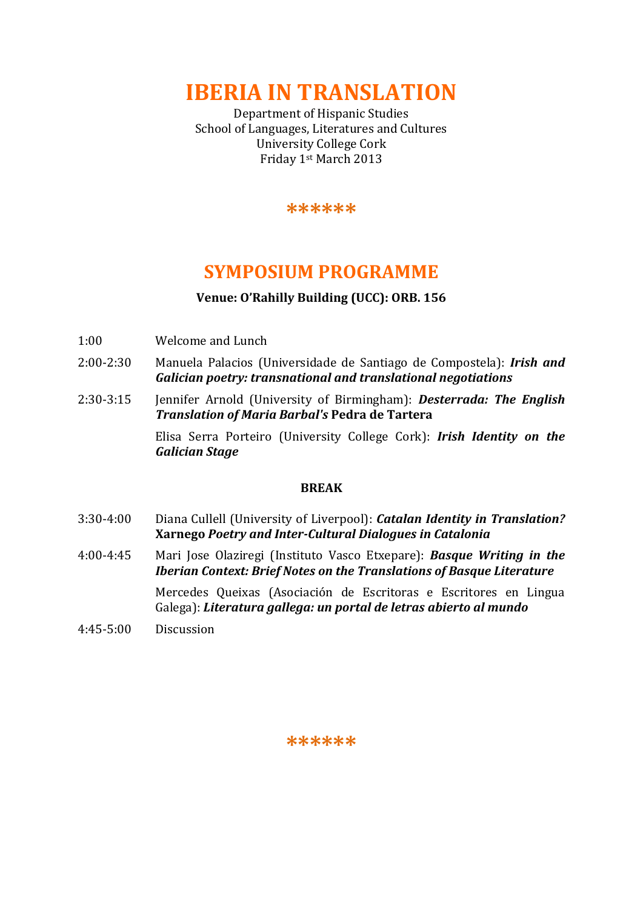**IBERIA IN TRANSLATION**

Department of Hispanic Studies School of Languages, Literatures and Cultures University College Cork Friday 1st March 2013

**\*\*\*\*\*\***

# **SYMPOSIUM PROGRAMME**

### **Venue: O'Rahilly Building (UCC): ORB. 156**

- 1:00 Welcome and Lunch
- 2:00-2:30 Manuela Palacios (Universidade de Santiago de Compostela): *Irish and Galician poetry: transnational and translational negotiations*
- 2:30-3:15 Jennifer Arnold (University of Birmingham): *Desterrada: The English Translation of Maria Barbal's* **Pedra de Tartera**

Elisa Serra Porteiro (University College Cork): *Irish Identity on the Galician Stage*

#### **BREAK**

- 3:30-4:00 Diana Cullell (University of Liverpool): *Catalan Identity in Translation?*  **Xarnego** *Poetry and Inter-Cultural Dialogues in Catalonia*
- 4:00-4:45 Mari Jose Olaziregi (Instituto Vasco Etxepare): *Basque Writing in the Iberian Context: Brief Notes on the Translations of Basque Literature* Mercedes Queixas (Asociación de Escritoras e Escritores en Lingua Galega): *Literatura gallega: un portal de letras abierto al mundo*
- 4:45-5:00 Discussion

#### **\*\*\*\*\*\***